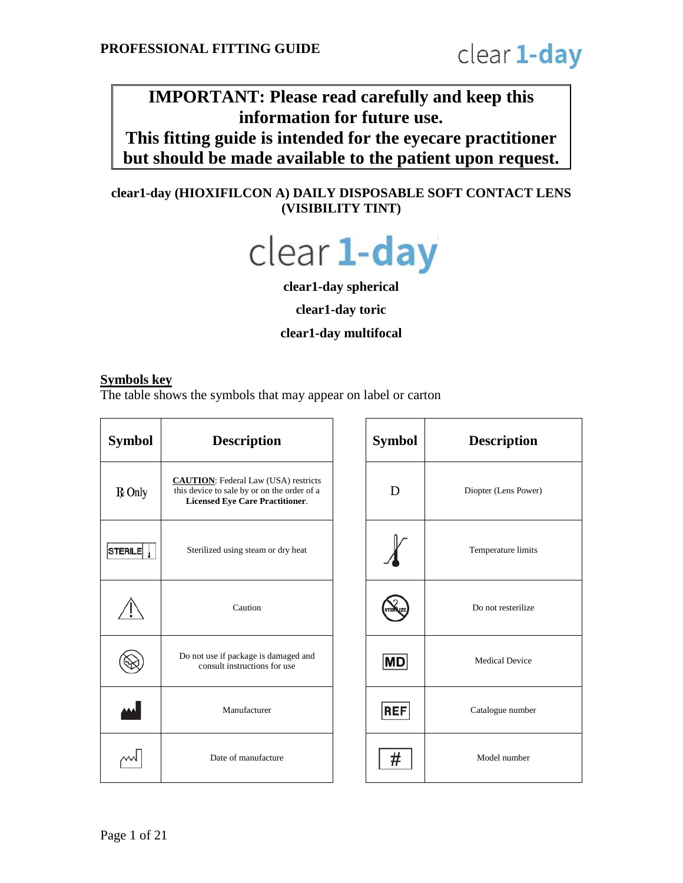# **IMPORTANT: Please read carefully and keep this information for future use. This fitting guide is intended for the eyecare practitioner**

**but should be made available to the patient upon request.**

# **clear1-day (HIOXIFILCON A) DAILY DISPOSABLE SOFT CONTACT LENS (VISIBILITY TINT)**



**clear1-day spherical**

**clear1-day toric**

**clear1-day multifocal**

#### **Symbols key**

The table shows the symbols that may appear on label or carton

| <b>Symbol</b>  | <b>Description</b>                                                                                                                   | <b>Symbol</b> | <b>Description</b>    |
|----------------|--------------------------------------------------------------------------------------------------------------------------------------|---------------|-----------------------|
| $R$ Only       | <b>CAUTION:</b> Federal Law (USA) restricts<br>this device to sale by or on the order of a<br><b>Licensed Eye Care Practitioner.</b> | D             | Diopter (Lens Power   |
| <b>STERILE</b> | Sterilized using steam or dry heat                                                                                                   |               | Temperature limits    |
|                | Caution                                                                                                                              |               | Do not resterilize    |
|                | Do not use if package is damaged and<br>consult instructions for use                                                                 | <b>MD</b>     | <b>Medical Device</b> |
|                | Manufacturer                                                                                                                         | <b>REF</b>    | Catalogue number      |
|                | Date of manufacture                                                                                                                  | #             | Model number          |

| <b>Description</b>                                                                                                            | <b>Symbol</b> | <b>Description</b>    |
|-------------------------------------------------------------------------------------------------------------------------------|---------------|-----------------------|
| <b>UTION:</b> Federal Law (USA) restricts<br>device to sale by or on the order of a<br><b>Licensed Eye Care Practitioner.</b> | D             | Diopter (Lens Power)  |
| Sterilized using steam or dry heat                                                                                            |               | Temperature limits    |
| Caution                                                                                                                       |               | Do not resterilize    |
| o not use if package is damaged and<br>consult instructions for use                                                           | MD            | <b>Medical Device</b> |
| Manufacturer                                                                                                                  | <b>REF</b>    | Catalogue number      |
| Date of manufacture                                                                                                           |               | Model number          |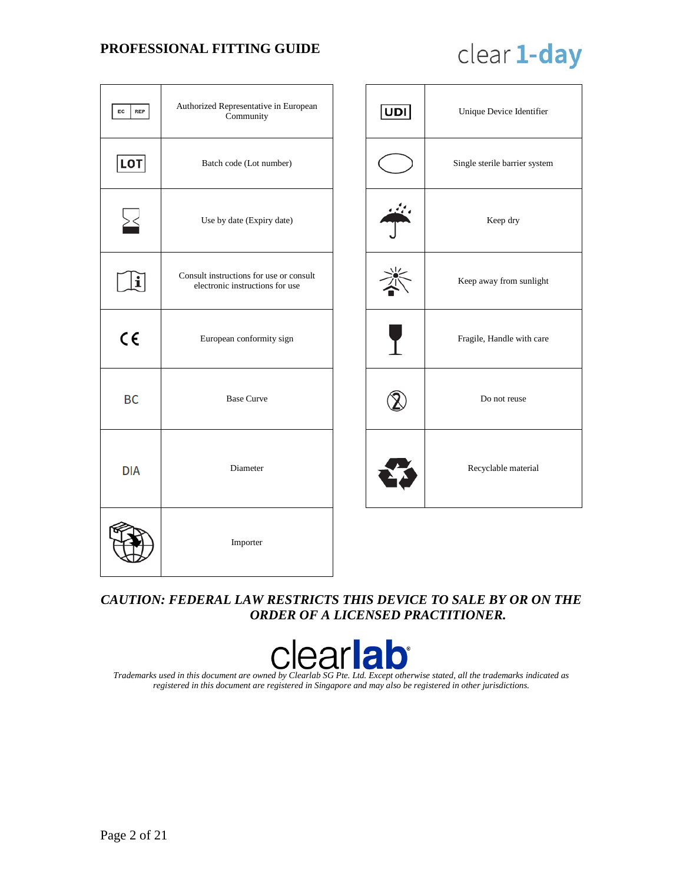# clear 1-day

| EC  <br><b>REP</b> | Authorized Representative in European<br>Community                         |  | <b>UDI</b> | Unique Device Identifier      |
|--------------------|----------------------------------------------------------------------------|--|------------|-------------------------------|
| LOT                | Batch code (Lot number)                                                    |  |            | Single sterile barrier system |
|                    | Use by date (Expiry date)                                                  |  |            | Keep dry                      |
| $\mathbf{i}$       | Consult instructions for use or consult<br>electronic instructions for use |  |            | Keep away from sunlight       |
| $C \in$            | European conformity sign                                                   |  |            | Fragile, Handle with care     |
| BC                 | <b>Base Curve</b>                                                          |  |            | Do not reuse                  |
| <b>DIA</b>         | Diameter                                                                   |  |            | Recyclable material           |
|                    | Importer                                                                   |  |            |                               |

# *CAUTION: FEDERAL LAW RESTRICTS THIS DEVICE TO SALE BY OR ON THE ORDER OF A LICENSED PRACTITIONER.*



*Trademarks used in this document are owned by Clearlab SG Pte. Ltd. Except otherwise stated, all the trademarks indicated as registered in this document are registered in Singapore and may also be registered in other jurisdictions.*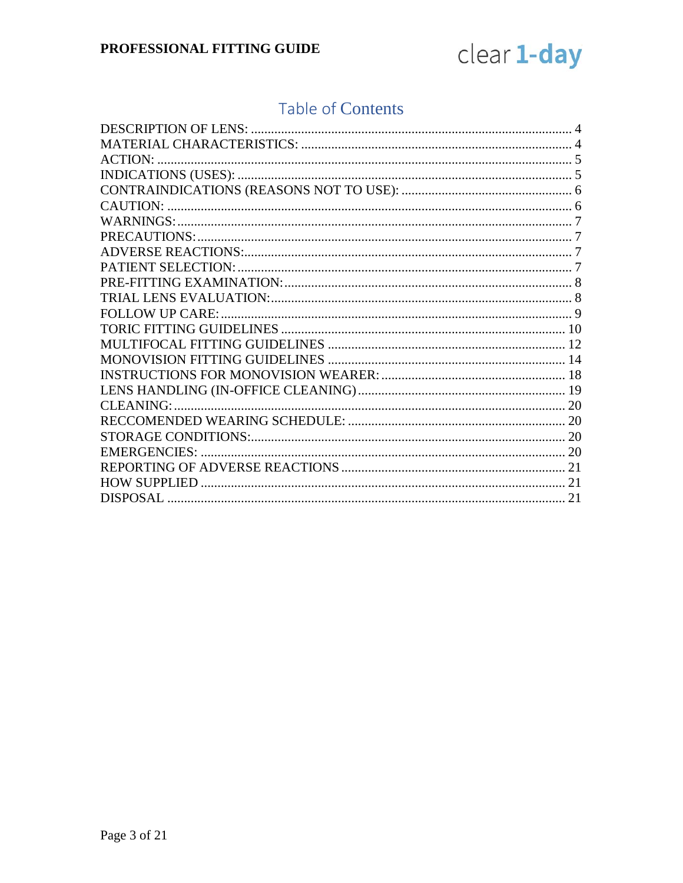

# **Table of Contents**

| <b>ACTION:</b>         |  |
|------------------------|--|
|                        |  |
|                        |  |
|                        |  |
|                        |  |
|                        |  |
|                        |  |
|                        |  |
|                        |  |
|                        |  |
| <b>FOLLOW UP CARE:</b> |  |
|                        |  |
|                        |  |
|                        |  |
|                        |  |
|                        |  |
| CLEANING:              |  |
|                        |  |
|                        |  |
|                        |  |
|                        |  |
|                        |  |
|                        |  |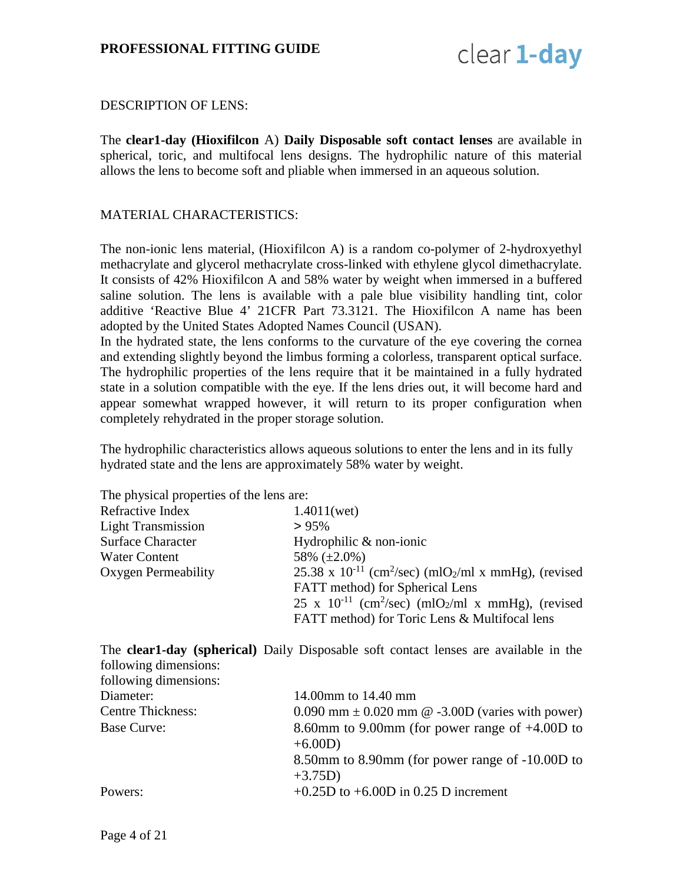

#### <span id="page-3-0"></span>DESCRIPTION OF LENS:

The **clear1-day (Hioxifilcon** A) **Daily Disposable soft contact lenses** are available in spherical, toric, and multifocal lens designs. The hydrophilic nature of this material allows the lens to become soft and pliable when immersed in an aqueous solution.

#### <span id="page-3-1"></span>MATERIAL CHARACTERISTICS:

The non-ionic lens material, (Hioxifilcon A) is a random co-polymer of 2-hydroxyethyl methacrylate and glycerol methacrylate cross-linked with ethylene glycol dimethacrylate. It consists of 42% Hioxifilcon A and 58% water by weight when immersed in a buffered saline solution. The lens is available with a pale blue visibility handling tint, color additive 'Reactive Blue 4' 21CFR Part 73.3121. The Hioxifilcon A name has been adopted by the United States Adopted Names Council (USAN).

In the hydrated state, the lens conforms to the curvature of the eye covering the cornea and extending slightly beyond the limbus forming a colorless, transparent optical surface. The hydrophilic properties of the lens require that it be maintained in a fully hydrated state in a solution compatible with the eye. If the lens dries out, it will become hard and appear somewhat wrapped however, it will return to its proper configuration when completely rehydrated in the proper storage solution.

The hydrophilic characteristics allows aqueous solutions to enter the lens and in its fully hydrated state and the lens are approximately 58% water by weight.

The physical properties of the lens are:

| 1.4011(wet)                                                                              |
|------------------------------------------------------------------------------------------|
| $> 95\%$                                                                                 |
| Hydrophilic & non-ionic                                                                  |
| 58% $(\pm 2.0\%)$                                                                        |
| 25.38 x 10 <sup>-11</sup> (cm <sup>2</sup> /sec) (mlO <sub>2</sub> /ml x mmHg), (revised |
| FATT method) for Spherical Lens                                                          |
| $25 \times 10^{-11}$ (cm <sup>2</sup> /sec) (mlO <sub>2</sub> /ml x mmHg), (revised      |
| FATT method) for Toric Lens & Multifocal lens                                            |
|                                                                                          |

The **clear1-day (spherical)** Daily Disposable soft contact lenses are available in the following dimensions: following dimensions:

| 14.00mm to 14.40 mm                                           |
|---------------------------------------------------------------|
| $0.090$ mm $\pm$ 0.020 mm @ -3.00D (varies with power)        |
| 8.60mm to 9.00mm (for power range of $+4.00D$ to<br>$+6.00D)$ |
| 8.50mm to 8.90mm (for power range of -10.00D to<br>$+3.75D)$  |
| $+0.25D$ to $+6.00D$ in 0.25 D increment                      |
|                                                               |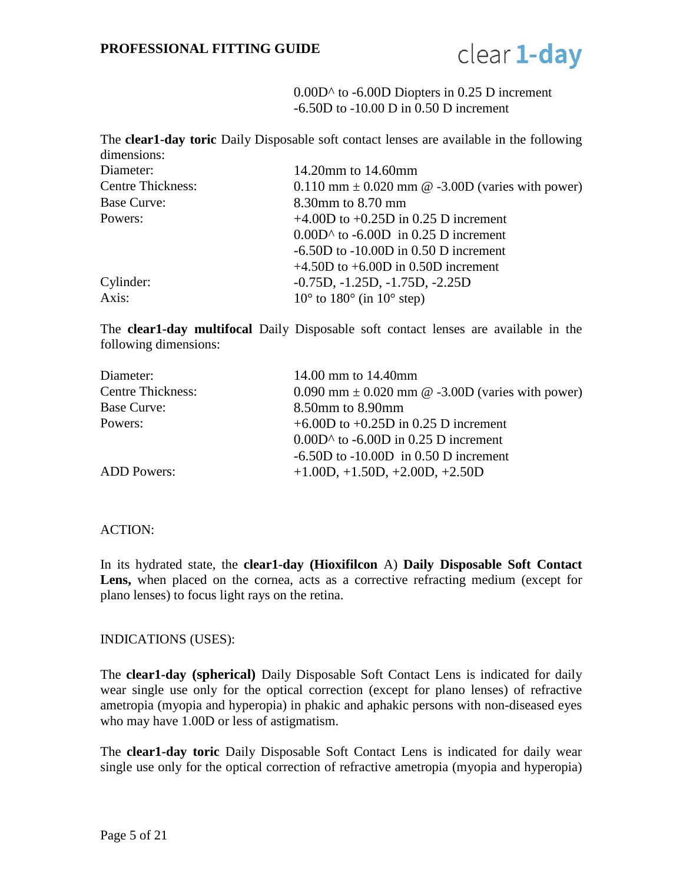

0.00D^ to -6.00D Diopters in 0.25 D increment -6.50D to -10.00 D in 0.50 D increment

The **clear1-day toric** Daily Disposable soft contact lenses are available in the following dimensions:

| Diameter:                | 14.20mm to 14.60mm                                     |
|--------------------------|--------------------------------------------------------|
| <b>Centre Thickness:</b> | $0.110$ mm $\pm$ 0.020 mm @ -3.00D (varies with power) |
| Base Curve:              | 8.30mm to 8.70 mm                                      |
| Powers:                  | $+4.00D$ to $+0.25D$ in 0.25 D increment               |
|                          | $0.00D^$ to -6.00D in 0.25 D increment                 |
|                          | $-6.50D$ to $-10.00D$ in 0.50 D increment              |
|                          | $+4.50D$ to $+6.00D$ in 0.50D increment                |
| Cylinder:                | $-0.75D, -1.25D, -1.75D, -2.25D$                       |
| Axis:                    | $10^{\circ}$ to $180^{\circ}$ (in $10^{\circ}$ step)   |

The **clear1-day multifocal** Daily Disposable soft contact lenses are available in the following dimensions:

| 14.00 mm to 14.40mm                                  |
|------------------------------------------------------|
| 0.090 mm $\pm$ 0.020 mm @ -3.00D (varies with power) |
| 8.50mm to 8.90mm                                     |
| $+6.00D$ to $+0.25D$ in 0.25 D increment             |
| $0.00D^$ to -6.00D in 0.25 D increment               |
| $-6.50D$ to $-10.00D$ in 0.50 D increment            |
| $+1.00D, +1.50D, +2.00D, +2.50D$                     |
|                                                      |

#### <span id="page-4-0"></span>ACTION:

In its hydrated state, the **clear1-day (Hioxifilcon** A) **Daily Disposable Soft Contact**  Lens, when placed on the cornea, acts as a corrective refracting medium (except for plano lenses) to focus light rays on the retina.

#### <span id="page-4-1"></span>INDICATIONS (USES):

The **clear1-day (spherical)** Daily Disposable Soft Contact Lens is indicated for daily wear single use only for the optical correction (except for plano lenses) of refractive ametropia (myopia and hyperopia) in phakic and aphakic persons with non-diseased eyes who may have 1.00D or less of astigmatism.

The **clear1-day toric** Daily Disposable Soft Contact Lens is indicated for daily wear single use only for the optical correction of refractive ametropia (myopia and hyperopia)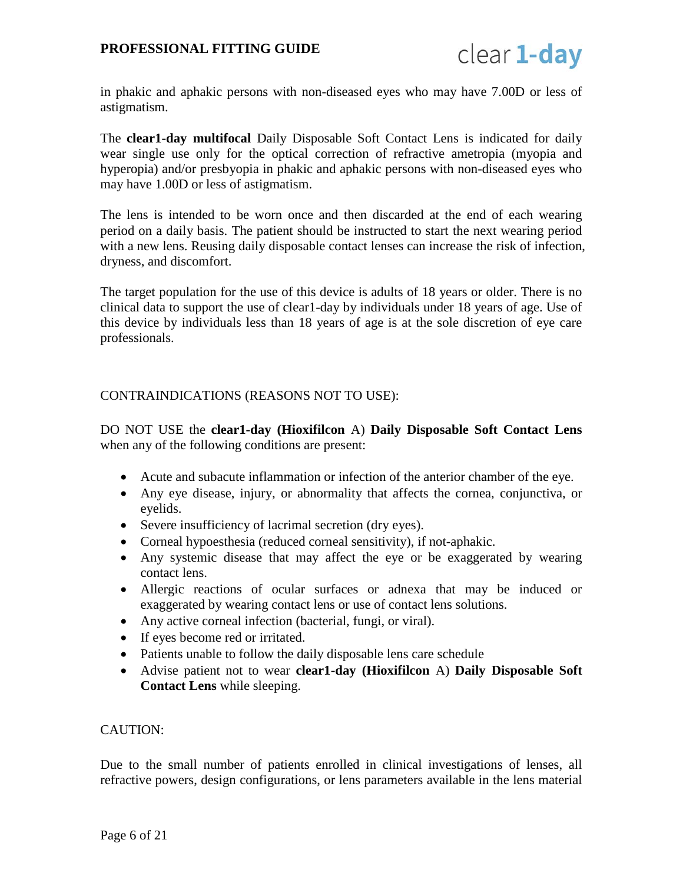

in phakic and aphakic persons with non-diseased eyes who may have 7.00D or less of astigmatism.

The **clear1-day multifocal** Daily Disposable Soft Contact Lens is indicated for daily wear single use only for the optical correction of refractive ametropia (myopia and hyperopia) and/or presbyopia in phakic and aphakic persons with non-diseased eyes who may have 1.00D or less of astigmatism.

The lens is intended to be worn once and then discarded at the end of each wearing period on a daily basis. The patient should be instructed to start the next wearing period with a new lens. Reusing daily disposable contact lenses can increase the risk of infection, dryness, and discomfort.

The target population for the use of this device is adults of 18 years or older. There is no clinical data to support the use of clear1-day by individuals under 18 years of age. Use of this device by individuals less than 18 years of age is at the sole discretion of eye care professionals.

#### <span id="page-5-0"></span>CONTRAINDICATIONS (REASONS NOT TO USE):

DO NOT USE the **clear1-day (Hioxifilcon** A) **Daily Disposable Soft Contact Lens**  when any of the following conditions are present:

- Acute and subacute inflammation or infection of the anterior chamber of the eye.
- Any eye disease, injury, or abnormality that affects the cornea, conjunctiva, or eyelids.
- Severe insufficiency of lacrimal secretion (dry eyes).
- Corneal hypoesthesia (reduced corneal sensitivity), if not-aphakic.
- Any systemic disease that may affect the eye or be exaggerated by wearing contact lens.
- Allergic reactions of ocular surfaces or adnexa that may be induced or exaggerated by wearing contact lens or use of contact lens solutions.
- Any active corneal infection (bacterial, fungi, or viral).
- If eyes become red or irritated.
- Patients unable to follow the daily disposable lens care schedule
- Advise patient not to wear **clear1-day (Hioxifilcon** A) **Daily Disposable Soft Contact Lens** while sleeping.

#### <span id="page-5-1"></span>CAUTION:

Due to the small number of patients enrolled in clinical investigations of lenses, all refractive powers, design configurations, or lens parameters available in the lens material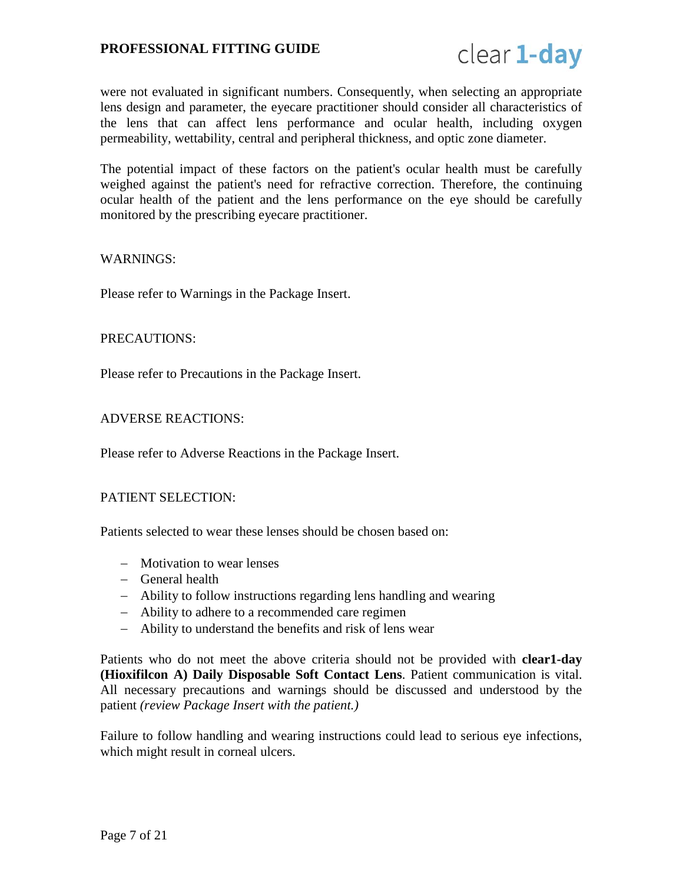

were not evaluated in significant numbers. Consequently, when selecting an appropriate lens design and parameter, the eyecare practitioner should consider all characteristics of the lens that can affect lens performance and ocular health, including oxygen permeability, wettability, central and peripheral thickness, and optic zone diameter.

The potential impact of these factors on the patient's ocular health must be carefully weighed against the patient's need for refractive correction. Therefore, the continuing ocular health of the patient and the lens performance on the eye should be carefully monitored by the prescribing eyecare practitioner.

#### <span id="page-6-0"></span>WARNINGS:

Please refer to Warnings in the Package Insert.

#### <span id="page-6-1"></span>PRECAUTIONS:

Please refer to Precautions in the Package Insert.

#### <span id="page-6-2"></span>ADVERSE REACTIONS:

Please refer to Adverse Reactions in the Package Insert.

#### <span id="page-6-3"></span>PATIENT SELECTION:

Patients selected to wear these lenses should be chosen based on:

- − Motivation to wear lenses
- − General health
- − Ability to follow instructions regarding lens handling and wearing
- − Ability to adhere to a recommended care regimen
- − Ability to understand the benefits and risk of lens wear

Patients who do not meet the above criteria should not be provided with **clear1-day (Hioxifilcon A) Daily Disposable Soft Contact Lens**. Patient communication is vital. All necessary precautions and warnings should be discussed and understood by the patient *(review Package Insert with the patient.)*

Failure to follow handling and wearing instructions could lead to serious eye infections, which might result in corneal ulcers.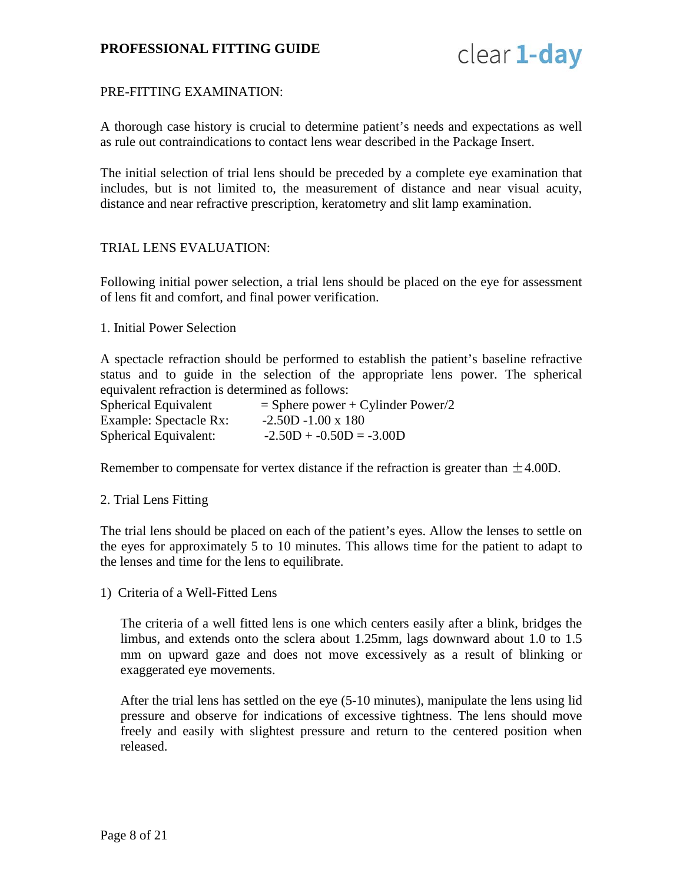

#### <span id="page-7-0"></span>PRE-FITTING EXAMINATION:

A thorough case history is crucial to determine patient's needs and expectations as well as rule out contraindications to contact lens wear described in the Package Insert.

The initial selection of trial lens should be preceded by a complete eye examination that includes, but is not limited to, the measurement of distance and near visual acuity, distance and near refractive prescription, keratometry and slit lamp examination.

#### <span id="page-7-1"></span>TRIAL LENS EVALUATION:

Following initial power selection, a trial lens should be placed on the eye for assessment of lens fit and comfort, and final power verification.

#### 1. Initial Power Selection

A spectacle refraction should be performed to establish the patient's baseline refractive status and to guide in the selection of the appropriate lens power. The spherical equivalent refraction is determined as follows:

| Spherical Equivalent   | $=$ Sphere power + Cylinder Power/2 |
|------------------------|-------------------------------------|
| Example: Spectacle Rx: | $-2.50D - 1.00 \times 180$          |
| Spherical Equivalent:  | $-2.50D + -0.50D = -3.00D$          |

Remember to compensate for vertex distance if the refraction is greater than  $\pm 4.00D$ .

#### 2. Trial Lens Fitting

The trial lens should be placed on each of the patient's eyes. Allow the lenses to settle on the eyes for approximately 5 to 10 minutes. This allows time for the patient to adapt to the lenses and time for the lens to equilibrate.

1) Criteria of a Well-Fitted Lens

The criteria of a well fitted lens is one which centers easily after a blink, bridges the limbus, and extends onto the sclera about 1.25mm, lags downward about 1.0 to 1.5 mm on upward gaze and does not move excessively as a result of blinking or exaggerated eye movements.

After the trial lens has settled on the eye (5-10 minutes), manipulate the lens using lid pressure and observe for indications of excessive tightness. The lens should move freely and easily with slightest pressure and return to the centered position when released.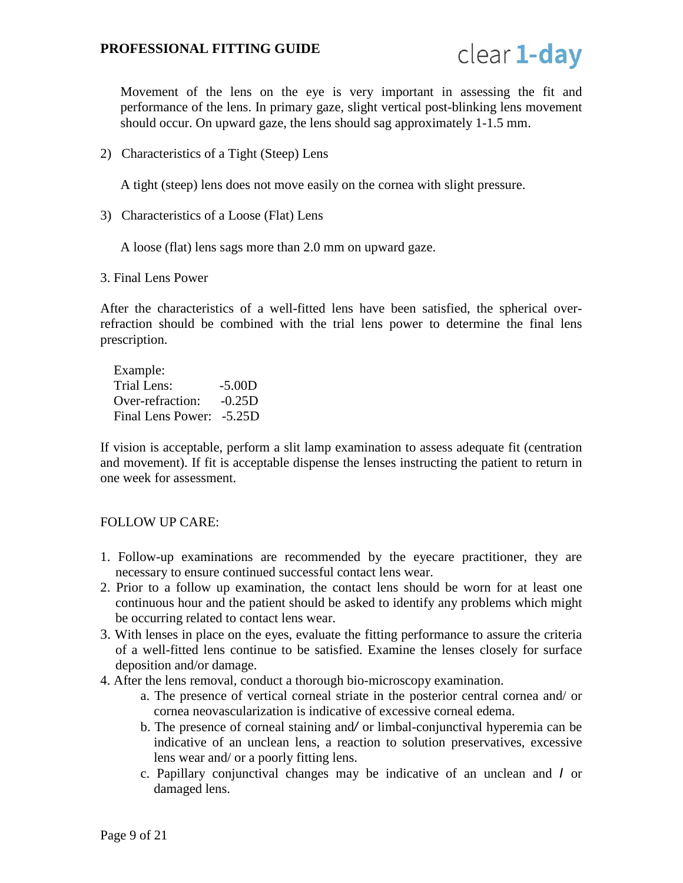

Movement of the lens on the eye is very important in assessing the fit and performance of the lens. In primary gaze, slight vertical post-blinking lens movement should occur. On upward gaze, the lens should sag approximately 1-1.5 mm.

2) Characteristics of a Tight (Steep) Lens

A tight (steep) lens does not move easily on the cornea with slight pressure.

3) Characteristics of a Loose (Flat) Lens

A loose (flat) lens sags more than 2.0 mm on upward gaze.

3. Final Lens Power

After the characteristics of a well-fitted lens have been satisfied, the spherical overrefraction should be combined with the trial lens power to determine the final lens prescription.

Example: Trial Lens: -5.00D Over-refraction: -0.25D Final Lens Power: -5.25D

If vision is acceptable, perform a slit lamp examination to assess adequate fit (centration and movement). If fit is acceptable dispense the lenses instructing the patient to return in one week for assessment.

#### <span id="page-8-0"></span>FOLLOW UP CARE:

- 1. Follow-up examinations are recommended by the eyecare practitioner, they are necessary to ensure continued successful contact lens wear.
- 2. Prior to a follow up examination, the contact lens should be worn for at least one continuous hour and the patient should be asked to identify any problems which might be occurring related to contact lens wear.
- 3. With lenses in place on the eyes, evaluate the fitting performance to assure the criteria of a well-fitted lens continue to be satisfied. Examine the lenses closely for surface deposition and/or damage.
- 4. After the lens removal, conduct a thorough bio-microscopy examination.
	- a. The presence of vertical corneal striate in the posterior central cornea and/ or cornea neovascularization is indicative of excessive corneal edema.
	- b. The presence of corneal staining and*/* or limbal-conjunctival hyperemia can be indicative of an unclean lens, a reaction to solution preservatives, excessive lens wear and/ or a poorly fitting lens.
	- c. Papillary conjunctival changes may be indicative of an unclean and *I* or damaged lens.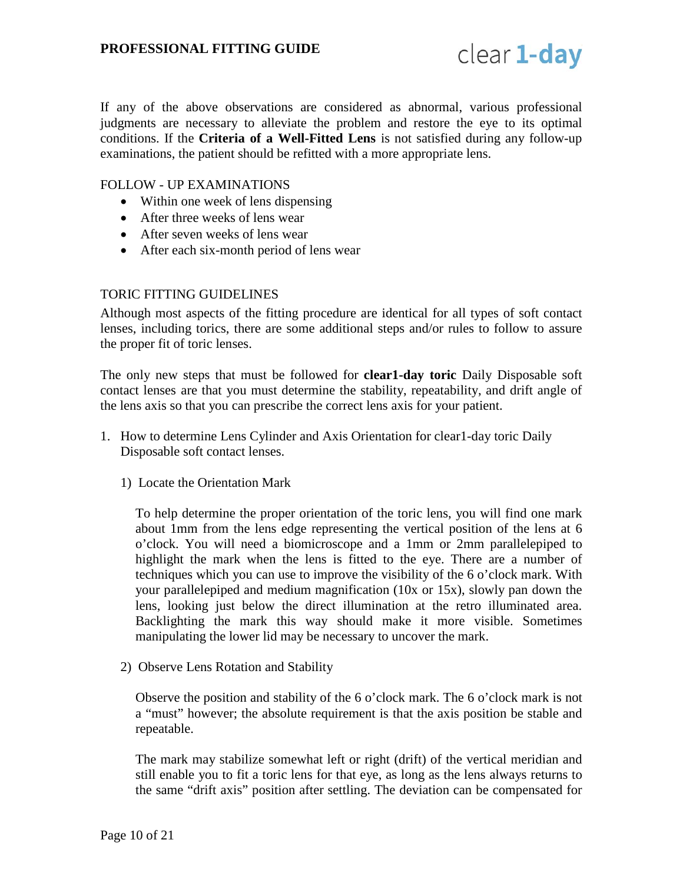

If any of the above observations are considered as abnormal, various professional judgments are necessary to alleviate the problem and restore the eye to its optimal conditions. If the **Criteria of a Well-Fitted Lens** is not satisfied during any follow-up examinations, the patient should be refitted with a more appropriate lens.

#### FOLLOW - UP EXAMINATIONS

- Within one week of lens dispensing
- After three weeks of lens wear
- After seven weeks of lens wear
- After each six-month period of lens wear

#### <span id="page-9-0"></span>TORIC FITTING GUIDELINES

Although most aspects of the fitting procedure are identical for all types of soft contact lenses, including torics, there are some additional steps and/or rules to follow to assure the proper fit of toric lenses.

The only new steps that must be followed for **clear1-day toric** Daily Disposable soft contact lenses are that you must determine the stability, repeatability, and drift angle of the lens axis so that you can prescribe the correct lens axis for your patient.

- 1. How to determine Lens Cylinder and Axis Orientation for clear1-day toric Daily Disposable soft contact lenses.
	- 1) Locate the Orientation Mark

To help determine the proper orientation of the toric lens, you will find one mark about 1mm from the lens edge representing the vertical position of the lens at 6 o'clock. You will need a biomicroscope and a 1mm or 2mm parallelepiped to highlight the mark when the lens is fitted to the eye. There are a number of techniques which you can use to improve the visibility of the 6 o'clock mark. With your parallelepiped and medium magnification (10x or 15x), slowly pan down the lens, looking just below the direct illumination at the retro illuminated area. Backlighting the mark this way should make it more visible. Sometimes manipulating the lower lid may be necessary to uncover the mark.

2) Observe Lens Rotation and Stability

Observe the position and stability of the 6 o'clock mark. The 6 o'clock mark is not a "must" however; the absolute requirement is that the axis position be stable and repeatable.

The mark may stabilize somewhat left or right (drift) of the vertical meridian and still enable you to fit a toric lens for that eye, as long as the lens always returns to the same "drift axis" position after settling. The deviation can be compensated for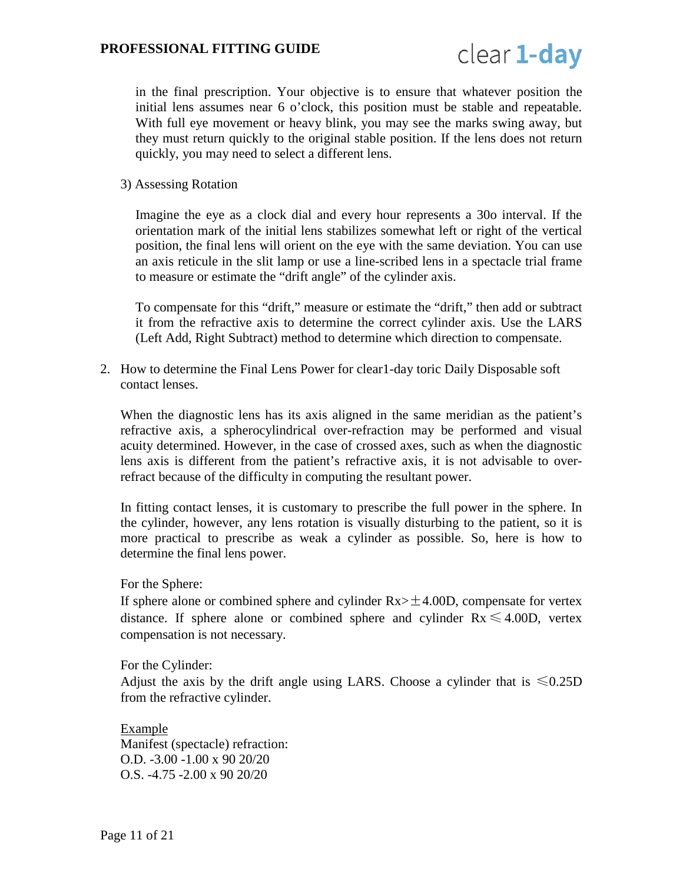

in the final prescription. Your objective is to ensure that whatever position the initial lens assumes near 6 o'clock, this position must be stable and repeatable. With full eye movement or heavy blink, you may see the marks swing away, but they must return quickly to the original stable position. If the lens does not return quickly, you may need to select a different lens.

3) Assessing Rotation

Imagine the eye as a clock dial and every hour represents a 30o interval. If the orientation mark of the initial lens stabilizes somewhat left or right of the vertical position, the final lens will orient on the eye with the same deviation. You can use an axis reticule in the slit lamp or use a line-scribed lens in a spectacle trial frame to measure or estimate the "drift angle" of the cylinder axis.

To compensate for this "drift," measure or estimate the "drift," then add or subtract it from the refractive axis to determine the correct cylinder axis. Use the LARS (Left Add, Right Subtract) method to determine which direction to compensate.

2. How to determine the Final Lens Power for clear1-day toric Daily Disposable soft contact lenses.

When the diagnostic lens has its axis aligned in the same meridian as the patient's refractive axis, a spherocylindrical over-refraction may be performed and visual acuity determined. However, in the case of crossed axes, such as when the diagnostic lens axis is different from the patient's refractive axis, it is not advisable to overrefract because of the difficulty in computing the resultant power.

In fitting contact lenses, it is customary to prescribe the full power in the sphere. In the cylinder, however, any lens rotation is visually disturbing to the patient, so it is more practical to prescribe as weak a cylinder as possible. So, here is how to determine the final lens power.

For the Sphere:

If sphere alone or combined sphere and cylinder  $Rx > \pm 4.00D$ , compensate for vertex distance. If sphere alone or combined sphere and cylinder  $Rx \le 4.00D$ , vertex compensation is not necessary.

For the Cylinder:

Adjust the axis by the drift angle using LARS. Choose a cylinder that is  $\leq 0.25D$ from the refractive cylinder.

Example Manifest (spectacle) refraction: O.D. -3.00 -1.00 x 90 20/20 O.S. -4.75 -2.00 x 90 20/20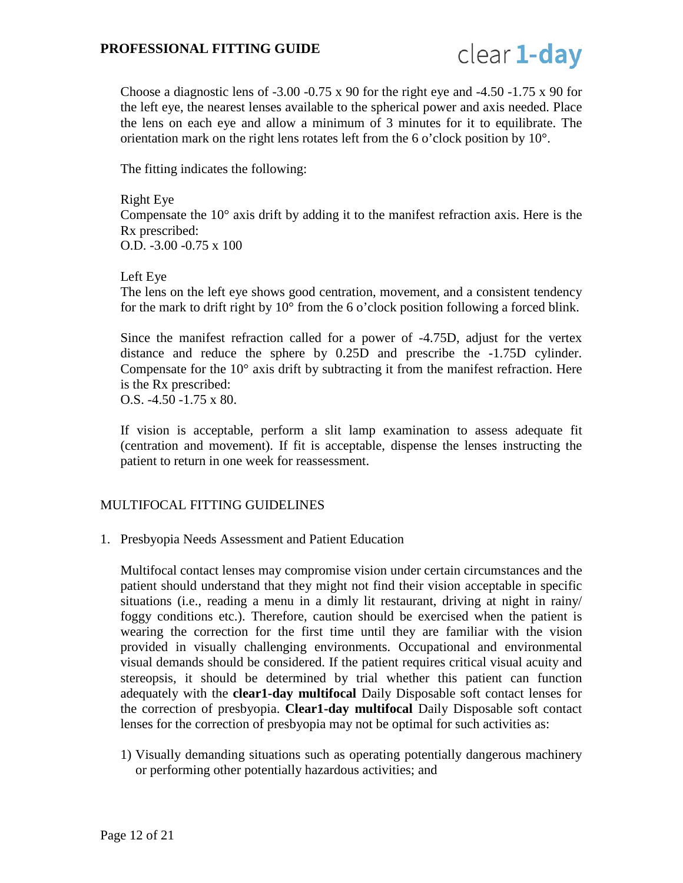

Choose a diagnostic lens of  $-3.00 -0.75 \times 90$  for the right eye and  $-4.50 -1.75 \times 90$  for the left eye, the nearest lenses available to the spherical power and axis needed. Place the lens on each eye and allow a minimum of 3 minutes for it to equilibrate. The orientation mark on the right lens rotates left from the 6 o'clock position by 10°.

The fitting indicates the following:

#### Right Eye

Compensate the 10° axis drift by adding it to the manifest refraction axis. Here is the Rx prescribed: O.D. -3.00 -0.75 x 100

# Left Eye

The lens on the left eye shows good centration, movement, and a consistent tendency for the mark to drift right by 10° from the 6 o'clock position following a forced blink.

Since the manifest refraction called for a power of -4.75D, adjust for the vertex distance and reduce the sphere by 0.25D and prescribe the -1.75D cylinder. Compensate for the  $10^{\circ}$  axis drift by subtracting it from the manifest refraction. Here is the Rx prescribed: O.S. -4.50 -1.75 x 80.

If vision is acceptable, perform a slit lamp examination to assess adequate fit (centration and movement). If fit is acceptable, dispense the lenses instructing the patient to return in one week for reassessment.

# <span id="page-11-0"></span>MULTIFOCAL FITTING GUIDELINES

1. Presbyopia Needs Assessment and Patient Education

Multifocal contact lenses may compromise vision under certain circumstances and the patient should understand that they might not find their vision acceptable in specific situations (i.e., reading a menu in a dimly lit restaurant, driving at night in rainy/ foggy conditions etc.). Therefore, caution should be exercised when the patient is wearing the correction for the first time until they are familiar with the vision provided in visually challenging environments. Occupational and environmental visual demands should be considered. If the patient requires critical visual acuity and stereopsis, it should be determined by trial whether this patient can function adequately with the **clear1-day multifocal** Daily Disposable soft contact lenses for the correction of presbyopia. **Clear1-day multifocal** Daily Disposable soft contact lenses for the correction of presbyopia may not be optimal for such activities as:

1) Visually demanding situations such as operating potentially dangerous machinery or performing other potentially hazardous activities; and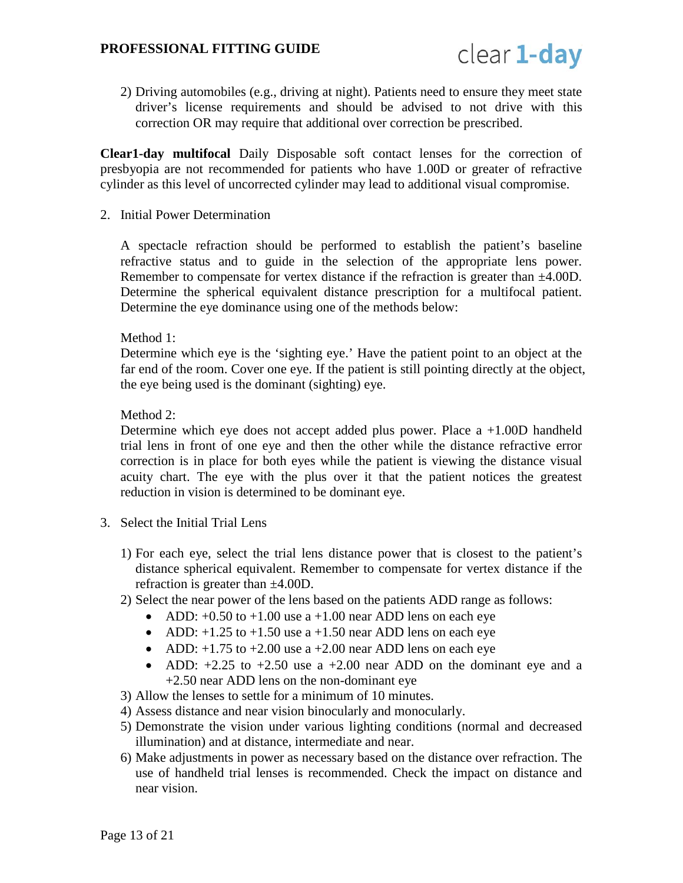

2) Driving automobiles (e.g., driving at night). Patients need to ensure they meet state driver's license requirements and should be advised to not drive with this correction OR may require that additional over correction be prescribed.

**Clear1-day multifocal** Daily Disposable soft contact lenses for the correction of presbyopia are not recommended for patients who have 1.00D or greater of refractive cylinder as this level of uncorrected cylinder may lead to additional visual compromise.

2. Initial Power Determination

A spectacle refraction should be performed to establish the patient's baseline refractive status and to guide in the selection of the appropriate lens power. Remember to compensate for vertex distance if the refraction is greater than  $\pm 4.00D$ . Determine the spherical equivalent distance prescription for a multifocal patient. Determine the eye dominance using one of the methods below:

Method 1:

Determine which eye is the 'sighting eye.' Have the patient point to an object at the far end of the room. Cover one eye. If the patient is still pointing directly at the object, the eye being used is the dominant (sighting) eye.

Method 2:

Determine which eye does not accept added plus power. Place a +1.00D handheld trial lens in front of one eye and then the other while the distance refractive error correction is in place for both eyes while the patient is viewing the distance visual acuity chart. The eye with the plus over it that the patient notices the greatest reduction in vision is determined to be dominant eye.

- 3. Select the Initial Trial Lens
	- 1) For each eye, select the trial lens distance power that is closest to the patient's distance spherical equivalent. Remember to compensate for vertex distance if the refraction is greater than ±4.00D.
	- 2) Select the near power of the lens based on the patients ADD range as follows:
		- ADD:  $+0.50$  to  $+1.00$  use a  $+1.00$  near ADD lens on each eye
		- ADD:  $+1.25$  to  $+1.50$  use a  $+1.50$  near ADD lens on each eye
		- ADD:  $+1.75$  to  $+2.00$  use a  $+2.00$  near ADD lens on each eye
		- ADD:  $+2.25$  to  $+2.50$  use a  $+2.00$  near ADD on the dominant eye and a +2.50 near ADD lens on the non-dominant eye
	- 3) Allow the lenses to settle for a minimum of 10 minutes.
	- 4) Assess distance and near vision binocularly and monocularly.
	- 5) Demonstrate the vision under various lighting conditions (normal and decreased illumination) and at distance, intermediate and near.
	- 6) Make adjustments in power as necessary based on the distance over refraction. The use of handheld trial lenses is recommended. Check the impact on distance and near vision.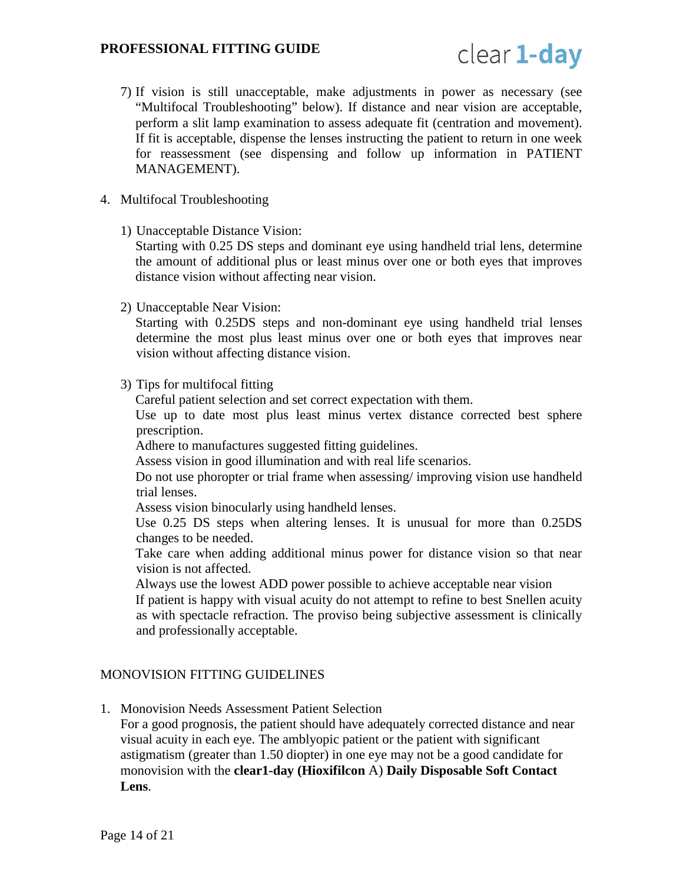

7) If vision is still unacceptable, make adjustments in power as necessary (see "Multifocal Troubleshooting" below). If distance and near vision are acceptable, perform a slit lamp examination to assess adequate fit (centration and movement). If fit is acceptable, dispense the lenses instructing the patient to return in one week for reassessment (see dispensing and follow up information in PATIENT MANAGEMENT).

#### 4. Multifocal Troubleshooting

1) Unacceptable Distance Vision:

Starting with 0.25 DS steps and dominant eye using handheld trial lens, determine the amount of additional plus or least minus over one or both eyes that improves distance vision without affecting near vision.

2) Unacceptable Near Vision:

Starting with 0.25DS steps and non-dominant eye using handheld trial lenses determine the most plus least minus over one or both eyes that improves near vision without affecting distance vision.

3) Tips for multifocal fitting

Careful patient selection and set correct expectation with them.

Use up to date most plus least minus vertex distance corrected best sphere prescription.

Adhere to manufactures suggested fitting guidelines.

Assess vision in good illumination and with real life scenarios.

Do not use phoropter or trial frame when assessing/ improving vision use handheld trial lenses.

Assess vision binocularly using handheld lenses.

Use 0.25 DS steps when altering lenses. It is unusual for more than 0.25DS changes to be needed.

Take care when adding additional minus power for distance vision so that near vision is not affected.

Always use the lowest ADD power possible to achieve acceptable near vision If patient is happy with visual acuity do not attempt to refine to best Snellen acuity as with spectacle refraction. The proviso being subjective assessment is clinically and professionally acceptable.

#### <span id="page-13-0"></span>MONOVISION FITTING GUIDELINES

1. Monovision Needs Assessment Patient Selection

For a good prognosis, the patient should have adequately corrected distance and near visual acuity in each eye. The amblyopic patient or the patient with significant astigmatism (greater than 1.50 diopter) in one eye may not be a good candidate for monovision with the **clear1-day (Hioxifilcon** A) **Daily Disposable Soft Contact Lens**.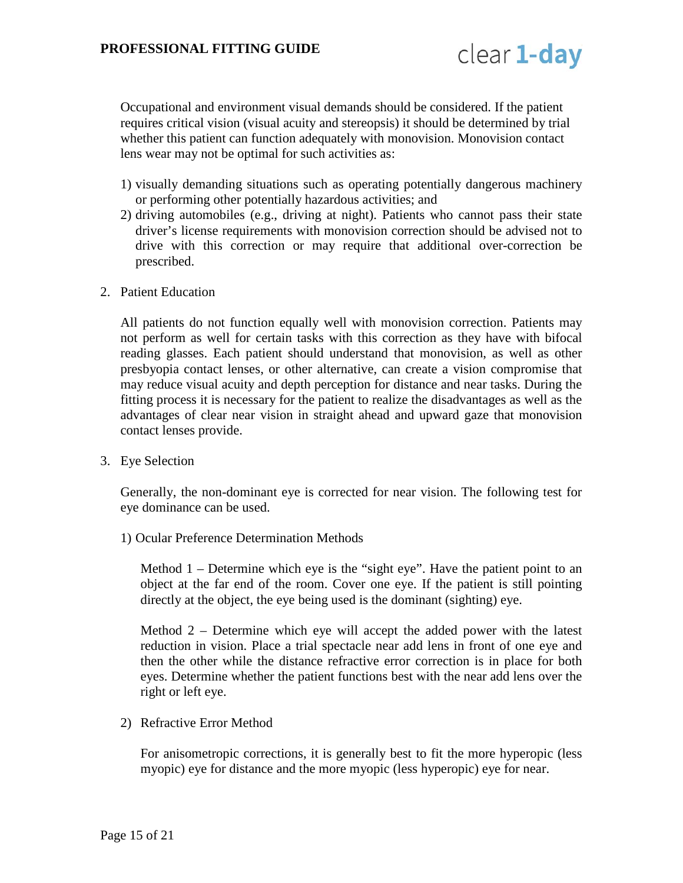

Occupational and environment visual demands should be considered. If the patient requires critical vision (visual acuity and stereopsis) it should be determined by trial whether this patient can function adequately with monovision. Monovision contact lens wear may not be optimal for such activities as:

- 1) visually demanding situations such as operating potentially dangerous machinery or performing other potentially hazardous activities; and
- 2) driving automobiles (e.g., driving at night). Patients who cannot pass their state driver's license requirements with monovision correction should be advised not to drive with this correction or may require that additional over-correction be prescribed.
- 2. Patient Education

All patients do not function equally well with monovision correction. Patients may not perform as well for certain tasks with this correction as they have with bifocal reading glasses. Each patient should understand that monovision, as well as other presbyopia contact lenses, or other alternative, can create a vision compromise that may reduce visual acuity and depth perception for distance and near tasks. During the fitting process it is necessary for the patient to realize the disadvantages as well as the advantages of clear near vision in straight ahead and upward gaze that monovision contact lenses provide.

3. Eye Selection

Generally, the non-dominant eye is corrected for near vision. The following test for eye dominance can be used.

1) Ocular Preference Determination Methods

Method 1 – Determine which eye is the "sight eye". Have the patient point to an object at the far end of the room. Cover one eye. If the patient is still pointing directly at the object, the eye being used is the dominant (sighting) eye.

Method 2 – Determine which eye will accept the added power with the latest reduction in vision. Place a trial spectacle near add lens in front of one eye and then the other while the distance refractive error correction is in place for both eyes. Determine whether the patient functions best with the near add lens over the right or left eye.

2) Refractive Error Method

For anisometropic corrections, it is generally best to fit the more hyperopic (less myopic) eye for distance and the more myopic (less hyperopic) eye for near.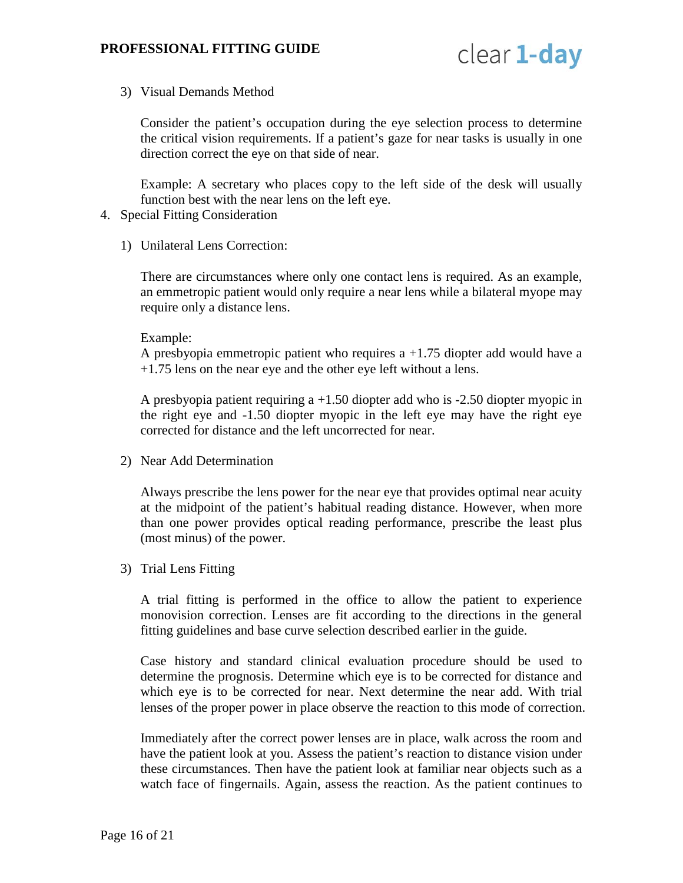

3) Visual Demands Method

Consider the patient's occupation during the eye selection process to determine the critical vision requirements. If a patient's gaze for near tasks is usually in one direction correct the eye on that side of near.

Example: A secretary who places copy to the left side of the desk will usually function best with the near lens on the left eye.

- 4. Special Fitting Consideration
	- 1) Unilateral Lens Correction:

There are circumstances where only one contact lens is required. As an example, an emmetropic patient would only require a near lens while a bilateral myope may require only a distance lens.

Example:

A presbyopia emmetropic patient who requires a +1.75 diopter add would have a +1.75 lens on the near eye and the other eye left without a lens.

A presbyopia patient requiring a +1.50 diopter add who is -2.50 diopter myopic in the right eye and -1.50 diopter myopic in the left eye may have the right eye corrected for distance and the left uncorrected for near.

2) Near Add Determination

Always prescribe the lens power for the near eye that provides optimal near acuity at the midpoint of the patient's habitual reading distance. However, when more than one power provides optical reading performance, prescribe the least plus (most minus) of the power.

3) Trial Lens Fitting

A trial fitting is performed in the office to allow the patient to experience monovision correction. Lenses are fit according to the directions in the general fitting guidelines and base curve selection described earlier in the guide.

Case history and standard clinical evaluation procedure should be used to determine the prognosis. Determine which eye is to be corrected for distance and which eye is to be corrected for near. Next determine the near add. With trial lenses of the proper power in place observe the reaction to this mode of correction.

Immediately after the correct power lenses are in place, walk across the room and have the patient look at you. Assess the patient's reaction to distance vision under these circumstances. Then have the patient look at familiar near objects such as a watch face of fingernails. Again, assess the reaction. As the patient continues to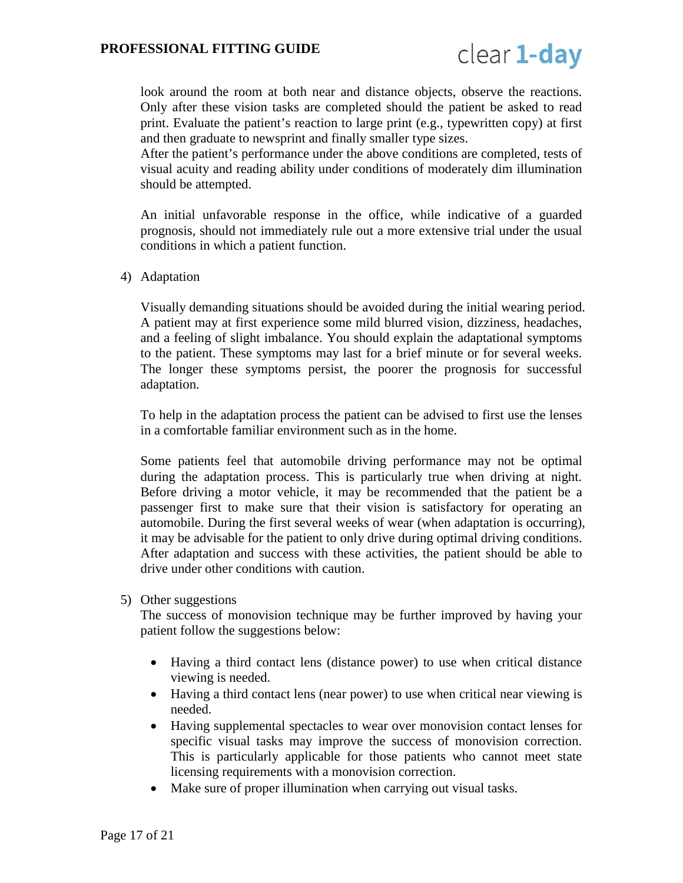

look around the room at both near and distance objects, observe the reactions. Only after these vision tasks are completed should the patient be asked to read print. Evaluate the patient's reaction to large print (e.g., typewritten copy) at first and then graduate to newsprint and finally smaller type sizes.

After the patient's performance under the above conditions are completed, tests of visual acuity and reading ability under conditions of moderately dim illumination should be attempted.

An initial unfavorable response in the office, while indicative of a guarded prognosis, should not immediately rule out a more extensive trial under the usual conditions in which a patient function.

4) Adaptation

Visually demanding situations should be avoided during the initial wearing period. A patient may at first experience some mild blurred vision, dizziness, headaches, and a feeling of slight imbalance. You should explain the adaptational symptoms to the patient. These symptoms may last for a brief minute or for several weeks. The longer these symptoms persist, the poorer the prognosis for successful adaptation.

To help in the adaptation process the patient can be advised to first use the lenses in a comfortable familiar environment such as in the home.

Some patients feel that automobile driving performance may not be optimal during the adaptation process. This is particularly true when driving at night. Before driving a motor vehicle, it may be recommended that the patient be a passenger first to make sure that their vision is satisfactory for operating an automobile. During the first several weeks of wear (when adaptation is occurring), it may be advisable for the patient to only drive during optimal driving conditions. After adaptation and success with these activities, the patient should be able to drive under other conditions with caution.

5) Other suggestions

The success of monovision technique may be further improved by having your patient follow the suggestions below:

- Having a third contact lens (distance power) to use when critical distance viewing is needed.
- Having a third contact lens (near power) to use when critical near viewing is needed.
- Having supplemental spectacles to wear over monovision contact lenses for specific visual tasks may improve the success of monovision correction. This is particularly applicable for those patients who cannot meet state licensing requirements with a monovision correction.
- Make sure of proper illumination when carrying out visual tasks.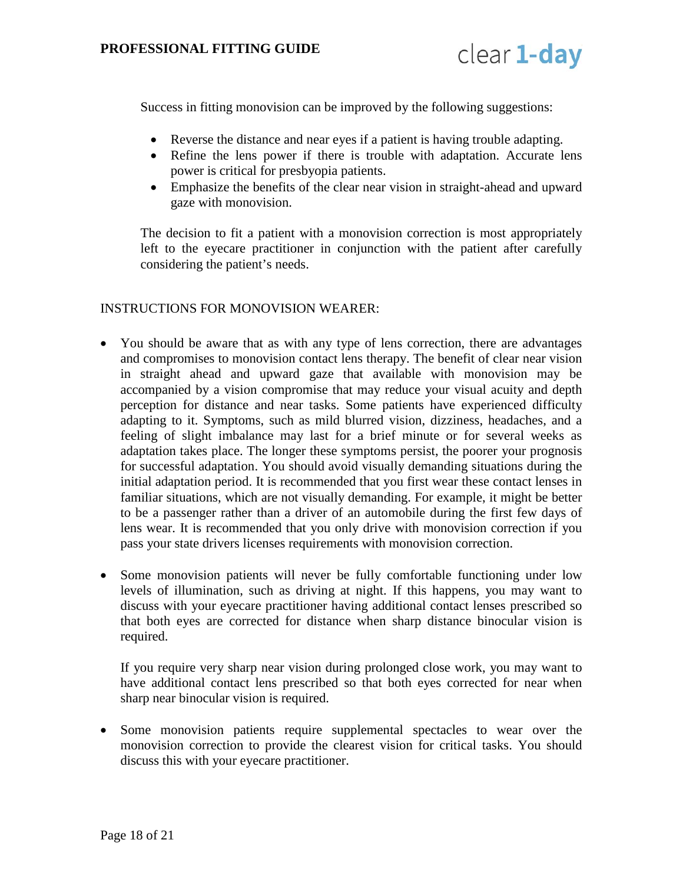

Success in fitting monovision can be improved by the following suggestions:

- Reverse the distance and near eyes if a patient is having trouble adapting.
- Refine the lens power if there is trouble with adaptation. Accurate lens power is critical for presbyopia patients.
- Emphasize the benefits of the clear near vision in straight-ahead and upward gaze with monovision.

The decision to fit a patient with a monovision correction is most appropriately left to the eyecare practitioner in conjunction with the patient after carefully considering the patient's needs.

#### <span id="page-17-0"></span>INSTRUCTIONS FOR MONOVISION WEARER:

- You should be aware that as with any type of lens correction, there are advantages and compromises to monovision contact lens therapy. The benefit of clear near vision in straight ahead and upward gaze that available with monovision may be accompanied by a vision compromise that may reduce your visual acuity and depth perception for distance and near tasks. Some patients have experienced difficulty adapting to it. Symptoms, such as mild blurred vision, dizziness, headaches, and a feeling of slight imbalance may last for a brief minute or for several weeks as adaptation takes place. The longer these symptoms persist, the poorer your prognosis for successful adaptation. You should avoid visually demanding situations during the initial adaptation period. It is recommended that you first wear these contact lenses in familiar situations, which are not visually demanding. For example, it might be better to be a passenger rather than a driver of an automobile during the first few days of lens wear. It is recommended that you only drive with monovision correction if you pass your state drivers licenses requirements with monovision correction.
- Some monovision patients will never be fully comfortable functioning under low levels of illumination, such as driving at night. If this happens, you may want to discuss with your eyecare practitioner having additional contact lenses prescribed so that both eyes are corrected for distance when sharp distance binocular vision is required.

If you require very sharp near vision during prolonged close work, you may want to have additional contact lens prescribed so that both eyes corrected for near when sharp near binocular vision is required.

• Some monovision patients require supplemental spectacles to wear over the monovision correction to provide the clearest vision for critical tasks. You should discuss this with your eyecare practitioner.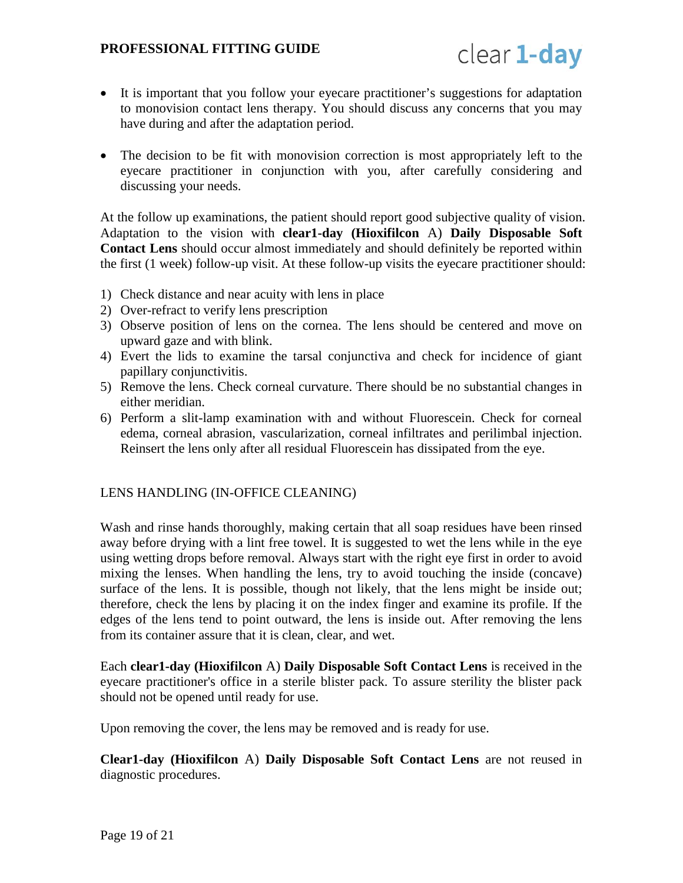

- It is important that you follow your eyecare practitioner's suggestions for adaptation to monovision contact lens therapy. You should discuss any concerns that you may have during and after the adaptation period.
- The decision to be fit with monovision correction is most appropriately left to the eyecare practitioner in conjunction with you, after carefully considering and discussing your needs.

At the follow up examinations, the patient should report good subjective quality of vision. Adaptation to the vision with **clear1-day (Hioxifilcon** A) **Daily Disposable Soft Contact Lens** should occur almost immediately and should definitely be reported within the first (1 week) follow-up visit. At these follow-up visits the eyecare practitioner should:

- 1) Check distance and near acuity with lens in place
- 2) Over-refract to verify lens prescription
- 3) Observe position of lens on the cornea. The lens should be centered and move on upward gaze and with blink.
- 4) Evert the lids to examine the tarsal conjunctiva and check for incidence of giant papillary conjunctivitis.
- 5) Remove the lens. Check corneal curvature. There should be no substantial changes in either meridian.
- 6) Perform a slit-lamp examination with and without Fluorescein. Check for corneal edema, corneal abrasion, vascularization, corneal infiltrates and perilimbal injection. Reinsert the lens only after all residual Fluorescein has dissipated from the eye.

#### <span id="page-18-0"></span>LENS HANDLING (IN-OFFICE CLEANING)

Wash and rinse hands thoroughly, making certain that all soap residues have been rinsed away before drying with a lint free towel. It is suggested to wet the lens while in the eye using wetting drops before removal. Always start with the right eye first in order to avoid mixing the lenses. When handling the lens, try to avoid touching the inside (concave) surface of the lens. It is possible, though not likely, that the lens might be inside out; therefore, check the lens by placing it on the index finger and examine its profile. If the edges of the lens tend to point outward, the lens is inside out. After removing the lens from its container assure that it is clean, clear, and wet.

Each **clear1-day (Hioxifilcon** A) **Daily Disposable Soft Contact Lens** is received in the eyecare practitioner's office in a sterile blister pack. To assure sterility the blister pack should not be opened until ready for use.

Upon removing the cover, the lens may be removed and is ready for use.

**Clear1-day (Hioxifilcon** A) **Daily Disposable Soft Contact Lens** are not reused in diagnostic procedures.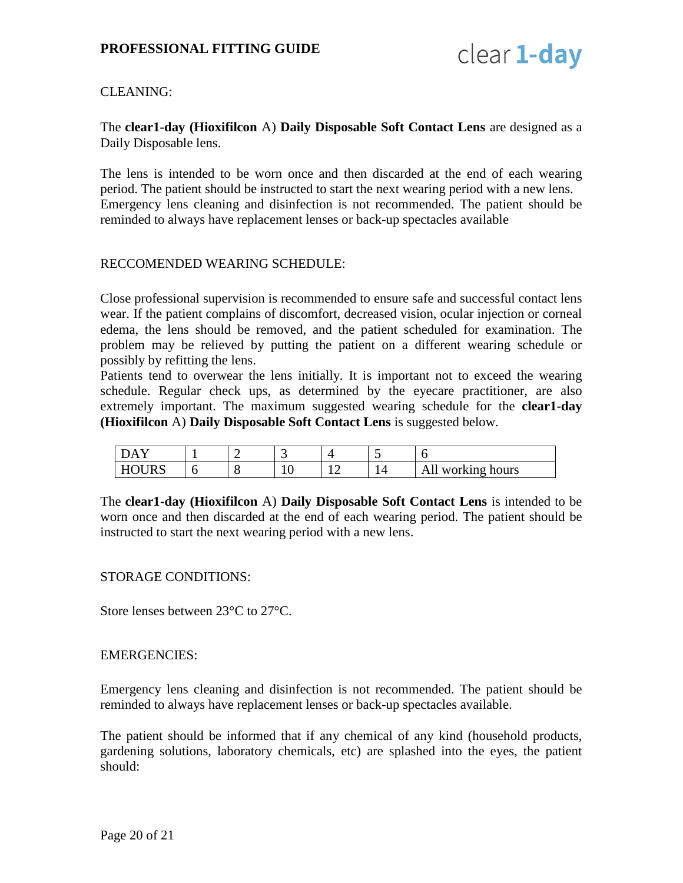

# <span id="page-19-0"></span>CLEANING:

The **clear1-day (Hioxifilcon** A) **Daily Disposable Soft Contact Lens** are designed as a Daily Disposable lens.

The lens is intended to be worn once and then discarded at the end of each wearing period. The patient should be instructed to start the next wearing period with a new lens. Emergency lens cleaning and disinfection is not recommended. The patient should be reminded to always have replacement lenses or back-up spectacles available

#### <span id="page-19-1"></span>RECCOMENDED WEARING SCHEDULE:

Close professional supervision is recommended to ensure safe and successful contact lens wear. If the patient complains of discomfort, decreased vision, ocular injection or corneal edema, the lens should be removed, and the patient scheduled for examination. The problem may be relieved by putting the patient on a different wearing schedule or possibly by refitting the lens.

Patients tend to overwear the lens initially. It is important not to exceed the wearing schedule. Regular check ups, as determined by the eyecare practitioner, are also extremely important. The maximum suggested wearing schedule for the **clear1-day (Hioxifilcon** A) **Daily Disposable Soft Contact Lens** is suggested below.

| $ -$<br>Δ<br>-         |  | $\overline{\phantom{0}}$ | ~ |                                                                            |
|------------------------|--|--------------------------|---|----------------------------------------------------------------------------|
| <u>н</u><br><b>IND</b> |  | ΙV                       |   | working hours<br>$\overline{\phantom{a}}$<br>.<br>$\overline{\phantom{0}}$ |

The **clear1-day (Hioxifilcon** A) **Daily Disposable Soft Contact Lens** is intended to be worn once and then discarded at the end of each wearing period. The patient should be instructed to start the next wearing period with a new lens.

#### <span id="page-19-2"></span>STORAGE CONDITIONS:

Store lenses between 23°C to 27°C.

#### <span id="page-19-3"></span>EMERGENCIES:

Emergency lens cleaning and disinfection is not recommended. The patient should be reminded to always have replacement lenses or back-up spectacles available.

The patient should be informed that if any chemical of any kind (household products, gardening solutions, laboratory chemicals, etc) are splashed into the eyes, the patient should: